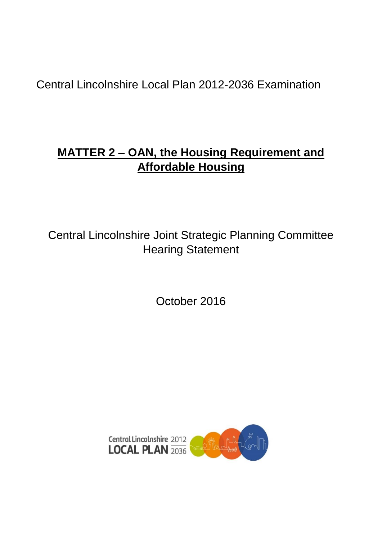Central Lincolnshire Local Plan 2012-2036 Examination

# **MATTER 2 – OAN, the Housing Requirement and Affordable Housing**

Central Lincolnshire Joint Strategic Planning Committee Hearing Statement

October 2016

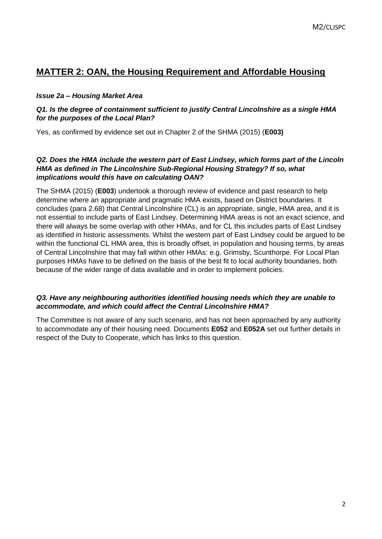# **MATTER 2: OAN, the Housing Requirement and Affordable Housing**

# *Issue 2a – Housing Market Area*

# *Q1. Is the degree of containment sufficient to justify Central Lincolnshire as a single HMA for the purposes of the Local Plan?*

Yes, as confirmed by evidence set out in Chapter 2 of the SHMA (2015) (**E003)**

# **Q2. Does the HMA include the western part of East Lindsey, which forms part of the Lincoln** *HMA as defined in The Lincolnshire Sub-Regional Housing Strategy? If so, what implications would this have on calculating OAN?*

The SHMA (2015) (**E003**) undertook a thorough review of evidence and past research to help determine where an appropriate and pragmatic HMA exists, based on District boundaries. It concludes (para 2.68) that Central Lincolnshire (CL) is an appropriate, single, HMA area, and it is not essential to include parts of East Lindsey. Determining HMA areas is not an exact science, and there will always be some overlap with other HMAs, and for CL this includes parts of East Lindsey as identified in historic assessments. Whilst the western part of East Lindsey could be argued to be within the functional CL HMA area, this is broadly offset, in population and housing terms, by areas of Central Lincolnshire that may fall within other HMAs: e.g. Grimsby, Scunthorpe. For Local Plan purposes HMAs have to be defined on the basis of the best fit to local authority boundaries, both because of the wider range of data available and in order to implement policies.

# *Q3. Have any neighbouring authorities identified housing needs which they are unable to accommodate, and which could affect the Central Lincolnshire HMA?*

The Committee is not aware of any such scenario, and has not been approached by any authority to accommodate any of their housing need. Documents **E052** and **E052A** set out further details in respect of the Duty to Cooperate, which has links to this question.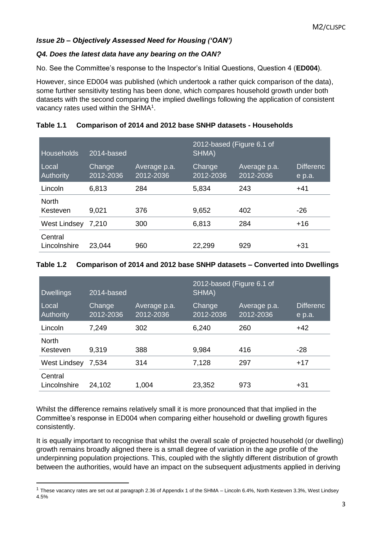# *Issue 2b – Objectively Assessed Need for Housing ('OAN')*

# *Q4. Does the latest data have any bearing on the OAN?*

No. See the Committee's response to the Inspector's Initial Questions, Question 4 (**ED004**).

However, since ED004 was published (which undertook a rather quick comparison of the data), some further sensitivity testing has been done, which compares household growth under both datasets with the second comparing the implied dwellings following the application of consistent vacancy rates used within the SHMA $1$ .

# **Table 1.1 Comparison of 2014 and 2012 base SNHP datasets - Households**

| Households                | 2014-based          |                           | 2012-based (Figure 6.1 of<br>SHMA) |                           |                            |
|---------------------------|---------------------|---------------------------|------------------------------------|---------------------------|----------------------------|
| Local<br><b>Authority</b> | Change<br>2012-2036 | Average p.a.<br>2012-2036 | Change<br>2012-2036                | Average p.a.<br>2012-2036 | <b>Differenc</b><br>e p.a. |
| Lincoln                   | 6,813               | 284                       | 5,834                              | 243                       | $+41$                      |
| <b>North</b><br>Kesteven  | 9,021               | 376                       | 9,652                              | 402                       | $-26$                      |
| West Lindsey              | 7,210               | 300                       | 6,813                              | 284                       | $+16$                      |
| Central<br>Lincolnshire   | 23,044              | 960                       | 22,299                             | 929                       | $+31$                      |

#### **Table 1.2 Comparison of 2014 and 2012 base SNHP datasets – Converted into Dwellings**

| <b>Dwellings</b>          | 2014-based          |                           | 2012-based (Figure 6.1 of<br>SHMA) |                           |                            |
|---------------------------|---------------------|---------------------------|------------------------------------|---------------------------|----------------------------|
| Local<br><b>Authority</b> | Change<br>2012-2036 | Average p.a.<br>2012-2036 | Change<br>2012-2036                | Average p.a.<br>2012-2036 | <b>Differenc</b><br>e p.a. |
| Lincoln                   | 7,249               | 302                       | 6,240                              | 260                       | $+42$                      |
| <b>North</b><br>Kesteven  | 9,319               | 388                       | 9,984                              | 416                       | -28                        |
| West Lindsey              | 7,534               | 314                       | 7,128                              | 297                       | $+17$                      |
| Central<br>Lincolnshire   | 24,102              | 1,004                     | 23,352                             | 973                       | $+31$                      |

Whilst the difference remains relatively small it is more pronounced that that implied in the Committee's response in ED004 when comparing either household or dwelling growth figures consistently.

It is equally important to recognise that whilst the overall scale of projected household (or dwelling) growth remains broadly aligned there is a small degree of variation in the age profile of the underpinning population projections. This, coupled with the slightly different distribution of growth between the authorities, would have an impact on the subsequent adjustments applied in deriving

<sup>1</sup> These vacancy rates are set out at paragraph 2.36 of Appendix 1 of the SHMA – Lincoln 6.4%, North Kesteven 3.3%, West Lindsey 4.5%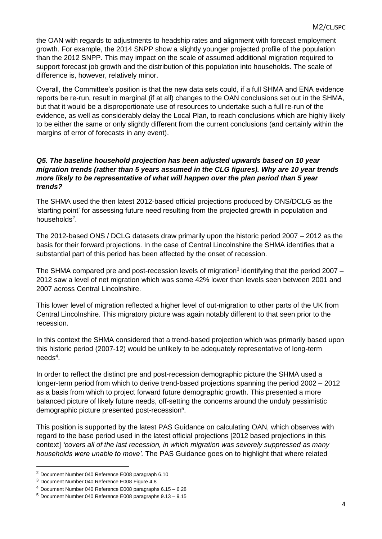the OAN with regards to adjustments to headship rates and alignment with forecast employment growth. For example, the 2014 SNPP show a slightly younger projected profile of the population than the 2012 SNPP. This may impact on the scale of assumed additional migration required to support forecast job growth and the distribution of this population into households. The scale of difference is, however, relatively minor.

Overall, the Committee's position is that the new data sets could, if a full SHMA and ENA evidence reports be re-run, result in marginal (if at all) changes to the OAN conclusions set out in the SHMA, but that it would be a disproportionate use of resources to undertake such a full re-run of the evidence, as well as considerably delay the Local Plan, to reach conclusions which are highly likely to be either the same or only slightly different from the current conclusions (and certainly within the margins of error of forecasts in any event).

#### *Q5. The baseline household projection has been adjusted upwards based on 10 year migration trends (rather than 5 years assumed in the CLG figures). Why are 10 year trends more likely to be representative of what will happen over the plan period than 5 year trends?*

The SHMA used the then latest 2012-based official projections produced by ONS/DCLG as the 'starting point' for assessing future need resulting from the projected growth in population and households<sup>2</sup>.

The 2012-based ONS / DCLG datasets draw primarily upon the historic period 2007 – 2012 as the basis for their forward projections. In the case of Central Lincolnshire the SHMA identifies that a substantial part of this period has been affected by the onset of recession.

The SHMA compared pre and post-recession levels of migration<sup>3</sup> identifying that the period 2007  $-$ 2012 saw a level of net migration which was some 42% lower than levels seen between 2001 and 2007 across Central Lincolnshire.

This lower level of migration reflected a higher level of out-migration to other parts of the UK from Central Lincolnshire. This migratory picture was again notably different to that seen prior to the recession.

In this context the SHMA considered that a trend-based projection which was primarily based upon this historic period (2007-12) would be unlikely to be adequately representative of long-term needs<sup>4</sup>.

In order to reflect the distinct pre and post-recession demographic picture the SHMA used a longer-term period from which to derive trend-based projections spanning the period 2002 – 2012 as a basis from which to project forward future demographic growth. This presented a more balanced picture of likely future needs, off-setting the concerns around the unduly pessimistic demographic picture presented post-recession<sup>5</sup>.

This position is supported by the latest PAS Guidance on calculating OAN, which observes with regard to the base period used in the latest official projections [2012 based projections in this context] *'covers all of the last recession, in which migration was severely suppressed as many households were unable to move'.* The PAS Guidance goes on to highlight that where related

<sup>2</sup> Document Number 040 Reference E008 paragraph 6.10

<sup>3</sup> Document Number 040 Reference E008 Figure 4.8

<sup>4</sup> Document Number 040 Reference E008 paragraphs 6.15 – 6.28

<sup>5</sup> Document Number 040 Reference E008 paragraphs 9.13 – 9.15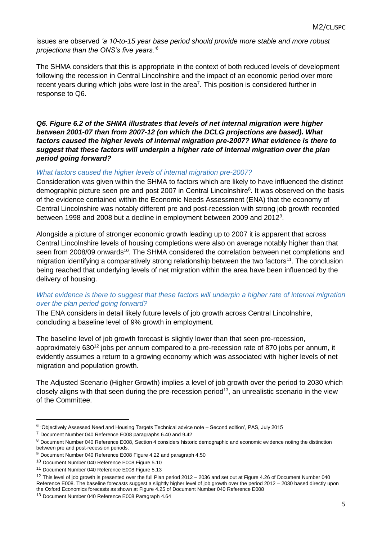issues are observed *'a 10-to-15 year base period should provide more stable and more robust projections than the ONS's five years.'<sup>6</sup>*

The SHMA considers that this is appropriate in the context of both reduced levels of development following the recession in Central Lincolnshire and the impact of an economic period over more recent years during which jobs were lost in the area<sup>7</sup>. This position is considered further in response to Q6.

*Q6. Figure 6.2 of the SHMA illustrates that levels of net internal migration were higher between 2001-07 than from 2007-12 (on which the DCLG projections are based). What factors caused the higher levels of internal migration pre-2007? What evidence is there to suggest that these factors will underpin a higher rate of internal migration over the plan period going forward?*

# *What factors caused the higher levels of internal migration pre-2007?*

Consideration was given within the SHMA to factors which are likely to have influenced the distinct demographic picture seen pre and post 2007 in Central Lincolnshire<sup>8</sup>. It was observed on the basis of the evidence contained within the Economic Needs Assessment (ENA) that the economy of Central Lincolnshire was notably different pre and post-recession with strong job growth recorded between 1998 and 2008 but a decline in employment between 2009 and 2012<sup>9</sup>.

Alongside a picture of stronger economic growth leading up to 2007 it is apparent that across Central Lincolnshire levels of housing completions were also on average notably higher than that seen from 2008/09 onwards<sup>10</sup>. The SHMA considered the correlation between net completions and migration identifying a comparatively strong relationship between the two factors<sup>11</sup>. The conclusion being reached that underlying levels of net migration within the area have been influenced by the delivery of housing.

# *What evidence is there to suggest that these factors will underpin a higher rate of internal migration over the plan period going forward?*

The ENA considers in detail likely future levels of job growth across Central Lincolnshire, concluding a baseline level of 9% growth in employment.

The baseline level of job growth forecast is slightly lower than that seen pre-recession, approximately 630<sup>12</sup> jobs per annum compared to a pre-recession rate of 870 jobs per annum, it evidently assumes a return to a growing economy which was associated with higher levels of net migration and population growth.

The Adjusted Scenario (Higher Growth) implies a level of job growth over the period to 2030 which closely aligns with that seen during the pre-recession period<sup>13</sup>, an unrealistic scenario in the view of the Committee.

<sup>&</sup>lt;sup>6</sup> 'Objectively Assessed Need and Housing Targets Technical advice note - Second edition', PAS, July 2015

<sup>7</sup> Document Number 040 Reference E008 paragraphs 6.40 and 9.42

<sup>8</sup> Document Number 040 Reference E008, Section 4 considers historic demographic and economic evidence noting the distinction between pre and post-recession periods.

<sup>9</sup> Document Number 040 Reference E008 Figure 4.22 and paragraph 4.50

<sup>10</sup> Document Number 040 Reference E008 Figure 5.10

<sup>11</sup> Document Number 040 Reference E008 Figure 5.13

<sup>12</sup> This level of job growth is presented over the full Plan period 2012 – 2036 and set out at Figure 4.26 of Document Number 040 Reference E008. The baseline forecasts suggest a slightly higher level of job growth over the period 2012 – 2030 based directly upon the Oxford Economics forecasts as shown at Figure 4.25 of Document Number 040 Reference E008

<sup>&</sup>lt;sup>13</sup> Document Number 040 Reference E008 Paragraph 4.64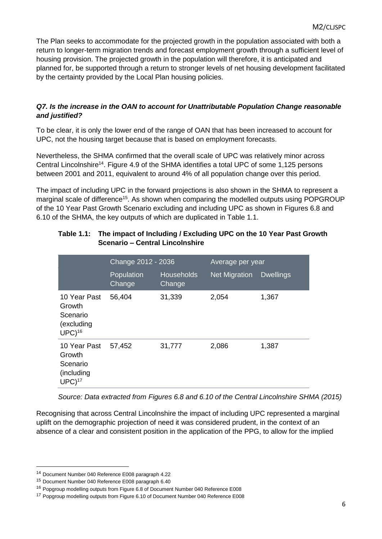The Plan seeks to accommodate for the projected growth in the population associated with both a return to longer-term migration trends and forecast employment growth through a sufficient level of housing provision. The projected growth in the population will therefore, it is anticipated and planned for, be supported through a return to stronger levels of net housing development facilitated by the certainty provided by the Local Plan housing policies.

# *Q7. Is the increase in the OAN to account for Unattributable Population Change reasonable and justified?*

To be clear, it is only the lower end of the range of OAN that has been increased to account for UPC, not the housing target because that is based on employment forecasts.

Nevertheless, the SHMA confirmed that the overall scale of UPC was relatively minor across Central Lincolnshire<sup>14</sup>. Figure 4.9 of the SHMA identifies a total UPC of some 1,125 persons between 2001 and 2011, equivalent to around 4% of all population change over this period.

The impact of including UPC in the forward projections is also shown in the SHMA to represent a marginal scale of difference<sup>15</sup>. As shown when comparing the modelled outputs using POPGROUP of the 10 Year Past Growth Scenario excluding and including UPC as shown in Figures 6.8 and 6.10 of the SHMA, the key outputs of which are duplicated in Table 1.1.

|                                                                         | Change 2012 - 2036   |                             | Average per year     |                  |  |
|-------------------------------------------------------------------------|----------------------|-----------------------------|----------------------|------------------|--|
|                                                                         | Population<br>Change | <b>Households</b><br>Change | <b>Net Migration</b> | <b>Dwellings</b> |  |
| 10 Year Past<br>Growth<br>Scenario<br>(excluding<br>$UPC$ <sup>16</sup> | 56,404               | 31,339                      | 2,054                | 1,367            |  |
| 10 Year Past<br>Growth<br>Scenario<br>(including<br>$UPC$ <sup>17</sup> | 57,452               | 31,777                      | 2,086                | 1,387            |  |

# **Table 1.1: The impact of Including / Excluding UPC on the 10 Year Past Growth Scenario – Central Lincolnshire**

*Source: Data extracted from Figures 6.8 and 6.10 of the Central Lincolnshire SHMA (2015)*

Recognising that across Central Lincolnshire the impact of including UPC represented a marginal uplift on the demographic projection of need it was considered prudent, in the context of an absence of a clear and consistent position in the application of the PPG, to allow for the implied

<sup>14</sup> Document Number 040 Reference E008 paragraph 4.22

<sup>15</sup> Document Number 040 Reference E008 paragraph 6.40

<sup>16</sup> Popgroup modelling outputs from Figure 6.8 of Document Number 040 Reference E008

<sup>17</sup> Popgroup modelling outputs from Figure 6.10 of Document Number 040 Reference E008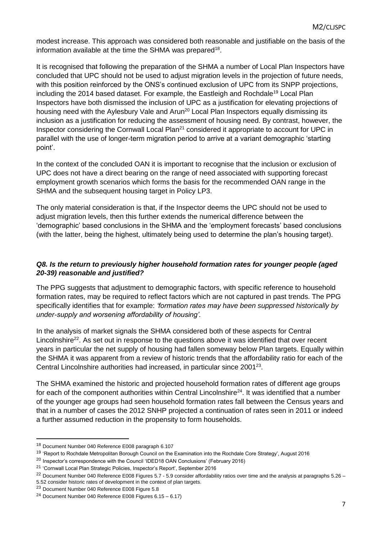modest increase. This approach was considered both reasonable and justifiable on the basis of the information available at the time the SHMA was prepared<sup>18</sup>.

It is recognised that following the preparation of the SHMA a number of Local Plan Inspectors have concluded that UPC should not be used to adjust migration levels in the projection of future needs, with this position reinforced by the ONS's continued exclusion of UPC from its SNPP projections, including the 2014 based dataset. For example, the Eastleigh and Rochdale<sup>19</sup> Local Plan Inspectors have both dismissed the inclusion of UPC as a justification for elevating projections of housing need with the Aylesbury Vale and Arun<sup>20</sup> Local Plan Inspectors equally dismissing its inclusion as a justification for reducing the assessment of housing need. By contrast, however, the Inspector considering the Cornwall Local Plan<sup>21</sup> considered it appropriate to account for UPC in parallel with the use of longer-term migration period to arrive at a variant demographic 'starting point'.

In the context of the concluded OAN it is important to recognise that the inclusion or exclusion of UPC does not have a direct bearing on the range of need associated with supporting forecast employment growth scenarios which forms the basis for the recommended OAN range in the SHMA and the subsequent housing target in Policy LP3.

The only material consideration is that, if the Inspector deems the UPC should not be used to adjust migration levels, then this further extends the numerical difference between the 'demographic' based conclusions in the SHMA and the 'employment forecasts' based conclusions (with the latter, being the highest, ultimately being used to determine the plan's housing target).

# *Q8. Is the return to previously higher household formation rates for younger people (aged 20-39) reasonable and justified?*

The PPG suggests that adjustment to demographic factors, with specific reference to household formation rates, may be required to reflect factors which are not captured in past trends. The PPG specifically identifies that for example: *'formation rates may have been suppressed historically by under-supply and worsening affordability of housing'.* 

In the analysis of market signals the SHMA considered both of these aspects for Central Lincolnshire<sup>22</sup>. As set out in response to the questions above it was identified that over recent years in particular the net supply of housing had fallen someway below Plan targets. Equally within the SHMA it was apparent from a review of historic trends that the affordability ratio for each of the Central Lincolnshire authorities had increased, in particular since 2001<sup>23</sup>.

The SHMA examined the historic and projected household formation rates of different age groups for each of the component authorities within Central Lincolnshire<sup>24</sup>. It was identified that a number of the younger age groups had seen household formation rates fall between the Census years and that in a number of cases the 2012 SNHP projected a continuation of rates seen in 2011 or indeed a further assumed reduction in the propensity to form households.

<sup>18</sup> Document Number 040 Reference E008 paragraph 6.107

<sup>19</sup> 'Report to Rochdale Metropolitan Borough Council on the Examination into the Rochdale Core Strategy', August 2016

<sup>&</sup>lt;sup>20</sup> Inspector's correspondence with the Council 'IDED18 OAN Conclusions' (February 2016)

<sup>21</sup> 'Cornwall Local Plan Strategic Policies, Inspector's Report', September 2016

<sup>22</sup> Document Number 040 Reference E008 Figures 5.7 - 5.9 consider affordability ratios over time and the analysis at paragraphs 5.26 –

<sup>5.52</sup> consider historic rates of development in the context of plan targets.

<sup>23</sup> Document Number 040 Reference E008 Figure 5.8

<sup>24</sup> Document Number 040 Reference E008 Figures 6.15 – 6.17)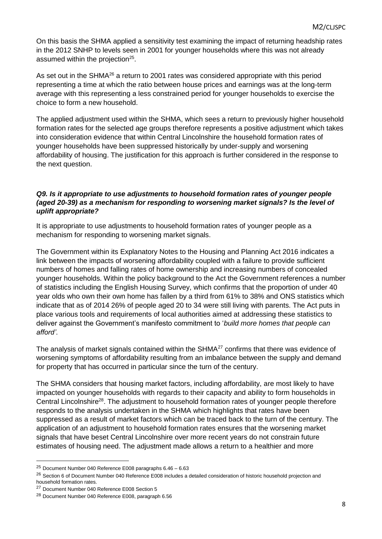On this basis the SHMA applied a sensitivity test examining the impact of returning headship rates in the 2012 SNHP to levels seen in 2001 for younger households where this was not already assumed within the projection<sup>25</sup>.

As set out in the SHMA<sup>26</sup> a return to 2001 rates was considered appropriate with this period representing a time at which the ratio between house prices and earnings was at the long-term average with this representing a less constrained period for younger households to exercise the choice to form a new household.

The applied adjustment used within the SHMA, which sees a return to previously higher household formation rates for the selected age groups therefore represents a positive adjustment which takes into consideration evidence that within Central Lincolnshire the household formation rates of younger households have been suppressed historically by under-supply and worsening affordability of housing. The justification for this approach is further considered in the response to the next question.

# *Q9. Is it appropriate to use adjustments to household formation rates of younger people (aged 20-39) as a mechanism for responding to worsening market signals? Is the level of uplift appropriate?*

It is appropriate to use adjustments to household formation rates of younger people as a mechanism for responding to worsening market signals.

The Government within its Explanatory Notes to the Housing and Planning Act 2016 indicates a link between the impacts of worsening affordability coupled with a failure to provide sufficient numbers of homes and falling rates of home ownership and increasing numbers of concealed younger households. Within the policy background to the Act the Government references a number of statistics including the English Housing Survey, which confirms that the proportion of under 40 year olds who own their own home has fallen by a third from 61% to 38% and ONS statistics which indicate that as of 2014 26% of people aged 20 to 34 were still living with parents. The Act puts in place various tools and requirements of local authorities aimed at addressing these statistics to deliver against the Government's manifesto commitment to '*build more homes that people can afford'*.

The analysis of market signals contained within the SHMA<sup>27</sup> confirms that there was evidence of worsening symptoms of affordability resulting from an imbalance between the supply and demand for property that has occurred in particular since the turn of the century.

The SHMA considers that housing market factors, including affordability, are most likely to have impacted on younger households with regards to their capacity and ability to form households in Central Lincolnshire<sup>28</sup>. The adjustment to household formation rates of younger people therefore responds to the analysis undertaken in the SHMA which highlights that rates have been suppressed as a result of market factors which can be traced back to the turn of the century. The application of an adjustment to household formation rates ensures that the worsening market signals that have beset Central Lincolnshire over more recent years do not constrain future estimates of housing need. The adjustment made allows a return to a healthier and more

<sup>25</sup> Document Number 040 Reference E008 paragraphs 6.46 – 6.63

<sup>&</sup>lt;sup>26</sup> Section 6 of Document Number 040 Reference E008 includes a detailed consideration of historic household projection and household formation rates.

<sup>27</sup> Document Number 040 Reference E008 Section 5

<sup>28</sup> Document Number 040 Reference E008, paragraph 6.56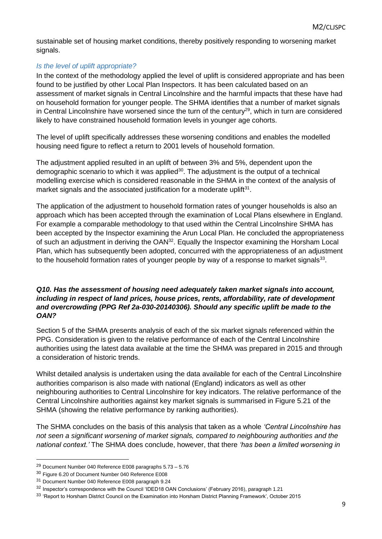sustainable set of housing market conditions, thereby positively responding to worsening market signals.

# *Is the level of uplift appropriate?*

In the context of the methodology applied the level of uplift is considered appropriate and has been found to be justified by other Local Plan Inspectors. It has been calculated based on an assessment of market signals in Central Lincolnshire and the harmful impacts that these have had on household formation for younger people. The SHMA identifies that a number of market signals in Central Lincolnshire have worsened since the turn of the century<sup>29</sup>, which in turn are considered likely to have constrained household formation levels in younger age cohorts.

The level of uplift specifically addresses these worsening conditions and enables the modelled housing need figure to reflect a return to 2001 levels of household formation.

The adjustment applied resulted in an uplift of between 3% and 5%, dependent upon the demographic scenario to which it was applied $30$ . The adjustment is the output of a technical modelling exercise which is considered reasonable in the SHMA in the context of the analysis of market signals and the associated justification for a moderate uplift<sup>31</sup>.

The application of the adjustment to household formation rates of younger households is also an approach which has been accepted through the examination of Local Plans elsewhere in England. For example a comparable methodology to that used within the Central Lincolnshire SHMA has been accepted by the Inspector examining the Arun Local Plan. He concluded the appropriateness of such an adjustment in deriving the OAN<sup>32</sup>. Equally the Inspector examining the Horsham Local Plan, which has subsequently been adopted, concurred with the appropriateness of an adjustment to the household formation rates of younger people by way of a response to market signals $^{33}$ .

# *Q10. Has the assessment of housing need adequately taken market signals into account, including in respect of land prices, house prices, rents, affordability, rate of development and overcrowding (PPG Ref 2a-030-20140306). Should any specific uplift be made to the OAN?*

Section 5 of the SHMA presents analysis of each of the six market signals referenced within the PPG. Consideration is given to the relative performance of each of the Central Lincolnshire authorities using the latest data available at the time the SHMA was prepared in 2015 and through a consideration of historic trends.

Whilst detailed analysis is undertaken using the data available for each of the Central Lincolnshire authorities comparison is also made with national (England) indicators as well as other neighbouring authorities to Central Lincolnshire for key indicators. The relative performance of the Central Lincolnshire authorities against key market signals is summarised in Figure 5.21 of the SHMA (showing the relative performance by ranking authorities).

The SHMA concludes on the basis of this analysis that taken as a whole *'Central Lincolnshire has not seen a significant worsening of market signals, compared to neighbouring authorities and the national context.'* The SHMA does conclude, however, that there *'has been a limited worsening in* 

<sup>29</sup> Document Number 040 Reference E008 paragraphs 5.73 – 5.76

<sup>30</sup> Figure 6.20 of Document Number 040 Reference E008

<sup>31</sup> Document Number 040 Reference E008 paragraph 9.24

<sup>&</sup>lt;sup>32</sup> Inspector's correspondence with the Council 'IDED18 OAN Conclusions' (February 2016), paragraph 1.21

<sup>33 &#</sup>x27;Report to Horsham District Council on the Examination into Horsham District Planning Framework', October 2015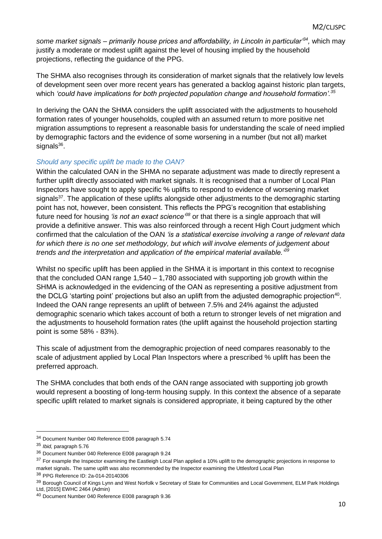*some market signals – primarily house prices and affordability, in Lincoln in particular'<sup>34</sup> ,* which may justify a moderate or modest uplift against the level of housing implied by the household projections, reflecting the guidance of the PPG.

The SHMA also recognises through its consideration of market signals that the relatively low levels of development seen over more recent years has generated a backlog against historic plan targets, which *'could have implications for both projected population change and household formation'.<sup>35</sup>*

In deriving the OAN the SHMA considers the uplift associated with the adjustments to household formation rates of younger households, coupled with an assumed return to more positive net migration assumptions to represent a reasonable basis for understanding the scale of need implied by demographic factors and the evidence of some worsening in a number (but not all) market signals<sup>36</sup>.

# *Should any specific uplift be made to the OAN?*

Within the calculated OAN in the SHMA no separate adjustment was made to directly represent a further uplift directly associated with market signals. It is recognised that a number of Local Plan Inspectors have sought to apply specific % uplifts to respond to evidence of worsening market signals<sup>37</sup>. The application of these uplifts alongside other adjustments to the demographic starting point has not, however, been consistent. This reflects the PPG's recognition that establishing future need for housing *'is not an exact science'<sup>38</sup>* or that there is a single approach that will provide a definitive answer. This was also reinforced through a recent High Court judgment which confirmed that the calculation of the OAN *'is a statistical exercise involving a range of relevant data for which there is no one set methodology, but which will involve elements of judgement about trends and the interpretation and application of the empirical material available.'<sup>39</sup>*

Whilst no specific uplift has been applied in the SHMA it is important in this context to recognise that the concluded OAN range 1,540 – 1,780 associated with supporting job growth within the SHMA is acknowledged in the evidencing of the OAN as representing a positive adjustment from the DCLG 'starting point' projections but also an uplift from the adjusted demographic projection<sup>40</sup>. Indeed the OAN range represents an uplift of between 7.5% and 24% against the adjusted demographic scenario which takes account of both a return to stronger levels of net migration and the adjustments to household formation rates (the uplift against the household projection starting point is some 58% - 83%).

This scale of adjustment from the demographic projection of need compares reasonably to the scale of adjustment applied by Local Plan Inspectors where a prescribed % uplift has been the preferred approach.

The SHMA concludes that both ends of the OAN range associated with supporting job growth would represent a boosting of long-term housing supply*.* In this context the absence of a separate specific uplift related to market signals is considered appropriate, it being captured by the other

<sup>34</sup> Document Number 040 Reference E008 paragraph 5.74

<sup>35</sup> *Ibid,* paragraph 5.76

<sup>36</sup> Document Number 040 Reference E008 paragraph 9.24

<sup>&</sup>lt;sup>37</sup> For example the Inspector examining the Eastleigh Local Plan applied a 10% uplift to the demographic projections in response to market signals. The same uplift was also recommended by the Inspector examining the Uttlesford Local Plan

<sup>38</sup> PPG Reference ID: 2a-014-20140306

<sup>39</sup> Borough Council of Kings Lynn and West Norfolk v Secretary of State for Communities and Local Government, ELM Park Holdings Ltd, [2015] EWHC 2464 (Admin)

<sup>40</sup> Document Number 040 Reference E008 paragraph 9.36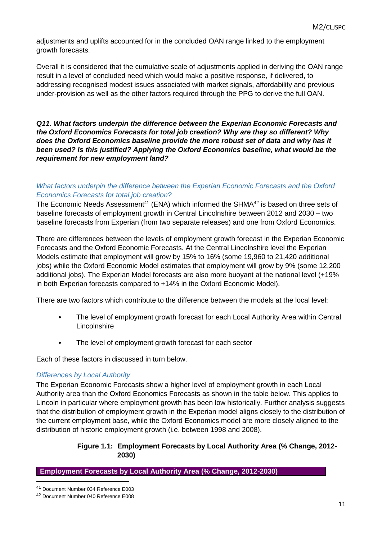adjustments and uplifts accounted for in the concluded OAN range linked to the employment growth forecasts.

Overall it is considered that the cumulative scale of adjustments applied in deriving the OAN range result in a level of concluded need which would make a positive response, if delivered, to addressing recognised modest issues associated with market signals, affordability and previous under-provision as well as the other factors required through the PPG to derive the full OAN.

*Q11. What factors underpin the difference between the Experian Economic Forecasts and the Oxford Economics Forecasts for total job creation? Why are they so different? Why does the Oxford Economics baseline provide the more robust set of data and why has it been used? Is this justified? Applying the Oxford Economics baseline, what would be the requirement for new employment land?*

# *What factors underpin the difference between the Experian Economic Forecasts and the Oxford Economics Forecasts for total job creation?*

The Economic Needs Assessment<sup>41</sup> (ENA) which informed the SHMA $42$  is based on three sets of baseline forecasts of employment growth in Central Lincolnshire between 2012 and 2030 – two baseline forecasts from Experian (from two separate releases) and one from Oxford Economics.

There are differences between the levels of employment growth forecast in the Experian Economic Forecasts and the Oxford Economic Forecasts. At the Central Lincolnshire level the Experian Models estimate that employment will grow by 15% to 16% (some 19,960 to 21,420 additional jobs) while the Oxford Economic Model estimates that employment will grow by 9% (some 12,200 additional jobs). The Experian Model forecasts are also more buoyant at the national level (+19% in both Experian forecasts compared to +14% in the Oxford Economic Model).

There are two factors which contribute to the difference between the models at the local level:

- The level of employment growth forecast for each Local Authority Area within Central **Lincolnshire**
- The level of employment growth forecast for each sector

Each of these factors in discussed in turn below.

# *Differences by Local Authority*

The Experian Economic Forecasts show a higher level of employment growth in each Local Authority area than the Oxford Economics Forecasts as shown in the table below. This applies to Lincoln in particular where employment growth has been low historically. Further analysis suggests that the distribution of employment growth in the Experian model aligns closely to the distribution of the current employment base, while the Oxford Economics model are more closely aligned to the distribution of historic employment growth (i.e. between 1998 and 2008).

# **Figure 1.1: Employment Forecasts by Local Authority Area (% Change, 2012- 2030)**

**Employment Forecasts by Local Authority Area (% Change, 2012-2030)**

<sup>1</sup> <sup>41</sup> Document Number 034 Reference E003

<sup>42</sup> Document Number 040 Reference E008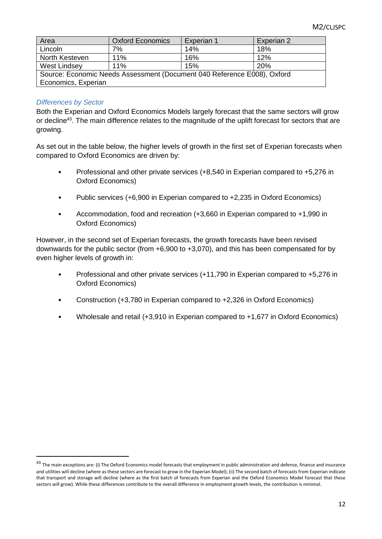| Area                                                                    | <b>Oxford Economics</b> | Experian 1 | Experian 2 |  |  |
|-------------------------------------------------------------------------|-------------------------|------------|------------|--|--|
| Lincoln                                                                 | 7%                      | 14%        | 18%        |  |  |
| North Kesteven                                                          | 11%                     | 16%        | 12%        |  |  |
| West Lindsey                                                            | 11%                     | 15%        | <b>20%</b> |  |  |
| Source: Economic Needs Assessment (Document 040 Reference E008), Oxford |                         |            |            |  |  |
| Economics, Experian                                                     |                         |            |            |  |  |

# *Differences by Sector*

1

Both the Experian and Oxford Economics Models largely forecast that the same sectors will grow or decline<sup>43</sup>. The main difference relates to the magnitude of the uplift forecast for sectors that are growing.

As set out in the table below, the higher levels of growth in the first set of Experian forecasts when compared to Oxford Economics are driven by:

- Professional and other private services (+8,540 in Experian compared to +5,276 in Oxford Economics)
- Public services (+6,900 in Experian compared to +2,235 in Oxford Economics)
- Accommodation, food and recreation (+3,660 in Experian compared to +1,990 in Oxford Economics)

However, in the second set of Experian forecasts, the growth forecasts have been revised downwards for the public sector (from +6,900 to +3,070), and this has been compensated for by even higher levels of growth in:

- Professional and other private services (+11,790 in Experian compared to +5,276 in Oxford Economics)
- Construction (+3,780 in Experian compared to +2,326 in Oxford Economics)
- Wholesale and retail (+3,910 in Experian compared to +1,677 in Oxford Economics)

 $43$  The main exceptions are: (i) The Oxford Economics model forecasts that employment in public administration and defence, finance and insurance and utilities will decline (where as these sectors are forecast to grow in the Experian Model); (ii) The second batch of forecasts from Experian indicate that transport and storage will decline (where as the first batch of forecasts from Experian and the Oxford Economics Model forecast that these sectors will grow). While these differences contribute to the overall difference in employment growth levels, the contribution is minimal.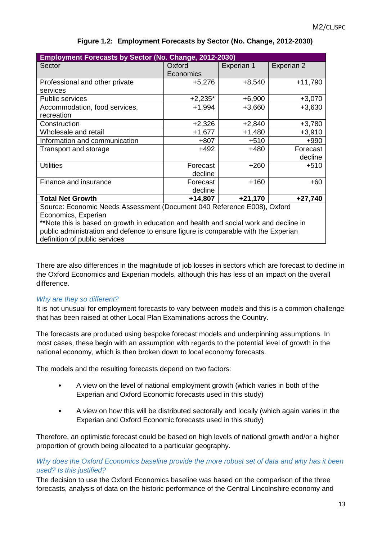| Employment Forecasts by Sector (No. Change, 2012-2030)                                |           |            |            |  |  |  |
|---------------------------------------------------------------------------------------|-----------|------------|------------|--|--|--|
| Sector                                                                                | Oxford    | Experian 1 | Experian 2 |  |  |  |
|                                                                                       | Economics |            |            |  |  |  |
| Professional and other private                                                        | $+5,276$  | $+8,540$   | $+11,790$  |  |  |  |
| services                                                                              |           |            |            |  |  |  |
| <b>Public services</b>                                                                | $+2,235*$ | $+6,900$   | $+3,070$   |  |  |  |
| Accommodation, food services,                                                         | $+1,994$  | $+3,660$   | $+3,630$   |  |  |  |
| recreation                                                                            |           |            |            |  |  |  |
| Construction                                                                          | $+2,326$  | $+2,840$   | $+3,780$   |  |  |  |
| Wholesale and retail                                                                  | $+1,677$  | $+1,480$   | $+3,910$   |  |  |  |
| Information and communication                                                         | $+807$    | $+510$     | $+990$     |  |  |  |
| Transport and storage                                                                 | $+492$    | $+480$     | Forecast   |  |  |  |
|                                                                                       |           |            | decline    |  |  |  |
| <b>Utilities</b>                                                                      | Forecast  | $+260$     | $+510$     |  |  |  |
|                                                                                       | decline   |            |            |  |  |  |
| Finance and insurance                                                                 | Forecast  | $+160$     | $+60$      |  |  |  |
|                                                                                       | decline   |            |            |  |  |  |
| $+27,740$<br><b>Total Net Growth</b><br>$+21,170$<br>$+14,807$                        |           |            |            |  |  |  |
| Source: Economic Needs Assessment (Document 040 Reference E008), Oxford               |           |            |            |  |  |  |
| Economics, Experian                                                                   |           |            |            |  |  |  |
| **Note this is based on growth in education and health and social work and decline in |           |            |            |  |  |  |

#### **Figure 1.2: Employment Forecasts by Sector (No. Change, 2012-2030)**

There are also differences in the magnitude of job losses in sectors which are forecast to decline in the Oxford Economics and Experian models, although this has less of an impact on the overall

public administration and defence to ensure figure is comparable with the Experian

#### *Why are they so different?*

difference.

definition of public services

It is not unusual for employment forecasts to vary between models and this is a common challenge that has been raised at other Local Plan Examinations across the Country.

The forecasts are produced using bespoke forecast models and underpinning assumptions. In most cases, these begin with an assumption with regards to the potential level of growth in the national economy, which is then broken down to local economy forecasts.

The models and the resulting forecasts depend on two factors:

- A view on the level of national employment growth (which varies in both of the Experian and Oxford Economic forecasts used in this study)
- A view on how this will be distributed sectorally and locally (which again varies in the Experian and Oxford Economic forecasts used in this study)

Therefore, an optimistic forecast could be based on high levels of national growth and/or a higher proportion of growth being allocated to a particular geography.

#### *Why does the Oxford Economics baseline provide the more robust set of data and why has it been used? Is this justified?*

The decision to use the Oxford Economics baseline was based on the comparison of the three forecasts, analysis of data on the historic performance of the Central Lincolnshire economy and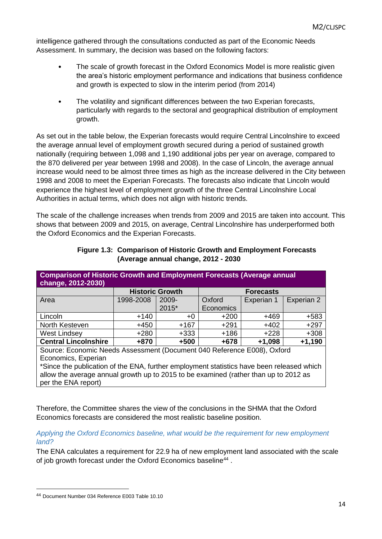intelligence gathered through the consultations conducted as part of the Economic Needs Assessment. In summary, the decision was based on the following factors:

- The scale of growth forecast in the Oxford Economics Model is more realistic given the area's historic employment performance and indications that business confidence and growth is expected to slow in the interim period (from 2014)
- The volatility and significant differences between the two Experian forecasts, particularly with regards to the sectoral and geographical distribution of employment growth.

As set out in the table below, the Experian forecasts would require Central Lincolnshire to exceed the average annual level of employment growth secured during a period of sustained growth nationally (requiring between 1,098 and 1,190 additional jobs per year on average, compared to the 870 delivered per year between 1998 and 2008). In the case of Lincoln, the average annual increase would need to be almost three times as high as the increase delivered in the City between 1998 and 2008 to meet the Experian Forecasts. The forecasts also indicate that Lincoln would experience the highest level of employment growth of the three Central Lincolnshire Local Authorities in actual terms, which does not align with historic trends.

The scale of the challenge increases when trends from 2009 and 2015 are taken into account. This shows that between 2009 and 2015, on average, Central Lincolnshire has underperformed both the Oxford Economics and the Experian Forecasts.

| <b>Comparison of Historic Growth and Employment Forecasts (Average annual</b><br>change, 2012-2030) |           |                        |                  |            |            |  |
|-----------------------------------------------------------------------------------------------------|-----------|------------------------|------------------|------------|------------|--|
|                                                                                                     |           | <b>Historic Growth</b> | <b>Forecasts</b> |            |            |  |
| Area                                                                                                | 1998-2008 | 2009-                  | Oxford           | Experian 1 | Experian 2 |  |
|                                                                                                     |           | 2015*                  | Economics        |            |            |  |
| Lincoln                                                                                             | $+140$    | $+0$                   | $+200$           | +469       | $+583$     |  |
| North Kesteven                                                                                      | $+450$    | $+167$                 | $+291$           | $+402$     | $+297$     |  |
| <b>West Lindsey</b>                                                                                 | $+280$    | $+333$                 | $+186$           | $+228$     | $+308$     |  |
| <b>Central Lincolnshire</b><br>+870<br>$+500$<br>$+678$<br>$+1,098$                                 |           |                        |                  |            | $+1,190$   |  |
| Source: Economic Needs Assessment (Document 040 Reference E008), Oxford                             |           |                        |                  |            |            |  |
| Economics, Experian                                                                                 |           |                        |                  |            |            |  |

\*Since the publication of the ENA, further employment statistics have been released which allow the average annual growth up to 2015 to be examined (rather than up to 2012 as

# **Figure 1.3: Comparison of Historic Growth and Employment Forecasts (Average annual change, 2012 - 2030**

per the ENA report)

Therefore, the Committee shares the view of the conclusions in the SHMA that the Oxford Economics forecasts are considered the most realistic baseline position.

#### *Applying the Oxford Economics baseline, what would be the requirement for new employment land?*

The ENA calculates a requirement for 22.9 ha of new employment land associated with the scale of job growth forecast under the Oxford Economics baseline<sup>44</sup>.

<sup>44</sup> Document Number 034 Reference E003 Table 10.10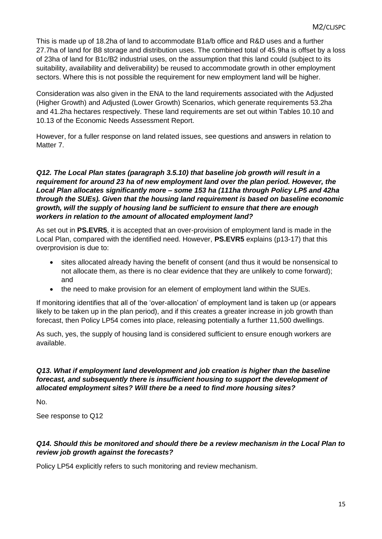This is made up of 18.2ha of land to accommodate B1a/b office and R&D uses and a further 27.7ha of land for B8 storage and distribution uses. The combined total of 45.9ha is offset by a loss of 23ha of land for B1c/B2 industrial uses, on the assumption that this land could (subject to its suitability, availability and deliverability) be reused to accommodate growth in other employment sectors. Where this is not possible the requirement for new employment land will be higher.

Consideration was also given in the ENA to the land requirements associated with the Adjusted (Higher Growth) and Adjusted (Lower Growth) Scenarios, which generate requirements 53.2ha and 41.2ha hectares respectively. These land requirements are set out within Tables 10.10 and 10.13 of the Economic Needs Assessment Report.

However, for a fuller response on land related issues, see questions and answers in relation to Matter 7.

#### *Q12. The Local Plan states (paragraph 3.5.10) that baseline job growth will result in a requirement for around 23 ha of new employment land over the plan period. However, the Local Plan allocates significantly more – some 153 ha (111ha through Policy LP5 and 42ha through the SUEs). Given that the housing land requirement is based on baseline economic growth, will the supply of housing land be sufficient to ensure that there are enough workers in relation to the amount of allocated employment land?*

As set out in **PS.EVR5**, it is accepted that an over-provision of employment land is made in the Local Plan, compared with the identified need. However, **PS.EVR5** explains (p13-17) that this overprovision is due to:

- sites allocated already having the benefit of consent (and thus it would be nonsensical to not allocate them, as there is no clear evidence that they are unlikely to come forward); and
- the need to make provision for an element of employment land within the SUEs.

If monitoring identifies that all of the 'over-allocation' of employment land is taken up (or appears likely to be taken up in the plan period), and if this creates a greater increase in job growth than forecast, then Policy LP54 comes into place, releasing potentially a further 11,500 dwellings.

As such, yes, the supply of housing land is considered sufficient to ensure enough workers are available.

# *Q13. What if employment land development and job creation is higher than the baseline forecast, and subsequently there is insufficient housing to support the development of allocated employment sites? Will there be a need to find more housing sites?*

No.

See response to Q12

# *Q14. Should this be monitored and should there be a review mechanism in the Local Plan to review job growth against the forecasts?*

Policy LP54 explicitly refers to such monitoring and review mechanism.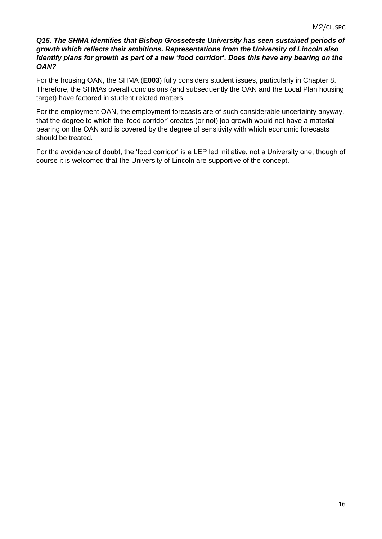# *Q15. The SHMA identifies that Bishop Grosseteste University has seen sustained periods of growth which reflects their ambitions. Representations from the University of Lincoln also identify plans for growth as part of a new 'food corridor'. Does this have any bearing on the OAN?*

For the housing OAN, the SHMA (**E003**) fully considers student issues, particularly in Chapter 8. Therefore, the SHMAs overall conclusions (and subsequently the OAN and the Local Plan housing target) have factored in student related matters.

For the employment OAN, the employment forecasts are of such considerable uncertainty anyway, that the degree to which the 'food corridor' creates (or not) job growth would not have a material bearing on the OAN and is covered by the degree of sensitivity with which economic forecasts should be treated.

For the avoidance of doubt, the 'food corridor' is a LEP led initiative, not a University one, though of course it is welcomed that the University of Lincoln are supportive of the concept.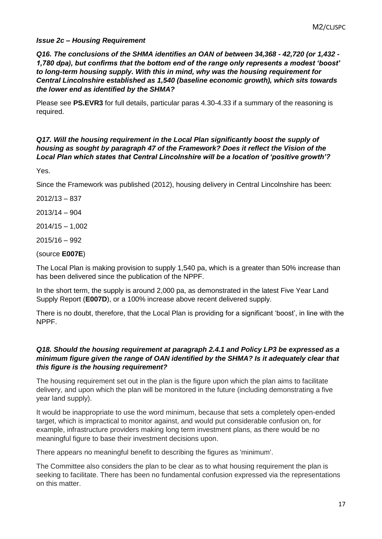# *Issue 2c – Housing Requirement*

*Q16. The conclusions of the SHMA identifies an OAN of between 34,368 - 42,720 (or 1,432 - 1,780 dpa), but confirms that the bottom end of the range only represents a modest 'boost' to long-term housing supply. With this in mind, why was the housing requirement for Central Lincolnshire established as 1,540 (baseline economic growth), which sits towards the lower end as identified by the SHMA?*

Please see **PS.EVR3** for full details, particular paras 4.30-4.33 if a summary of the reasoning is required.

#### *Q17. Will the housing requirement in the Local Plan significantly boost the supply of housing as sought by paragraph 47 of the Framework? Does it reflect the Vision of the Local Plan which states that Central Lincolnshire will be a location of 'positive growth'?*

Yes.

Since the Framework was published (2012), housing delivery in Central Lincolnshire has been:

2012/13 – 837

2013/14 – 904

2014/15 – 1,002

2015/16 – 992

(source **E007E**)

The Local Plan is making provision to supply 1,540 pa, which is a greater than 50% increase than has been delivered since the publication of the NPPF.

In the short term, the supply is around 2,000 pa, as demonstrated in the latest Five Year Land Supply Report (**E007D**), or a 100% increase above recent delivered supply.

There is no doubt, therefore, that the Local Plan is providing for a significant 'boost', in line with the NPPF.

#### *Q18. Should the housing requirement at paragraph 2.4.1 and Policy LP3 be expressed as a minimum figure given the range of OAN identified by the SHMA? Is it adequately clear that this figure is the housing requirement?*

The housing requirement set out in the plan is the figure upon which the plan aims to facilitate delivery, and upon which the plan will be monitored in the future (including demonstrating a five year land supply).

It would be inappropriate to use the word minimum, because that sets a completely open-ended target, which is impractical to monitor against, and would put considerable confusion on, for example, infrastructure providers making long term investment plans, as there would be no meaningful figure to base their investment decisions upon.

There appears no meaningful benefit to describing the figures as 'minimum'.

The Committee also considers the plan to be clear as to what housing requirement the plan is seeking to facilitate. There has been no fundamental confusion expressed via the representations on this matter.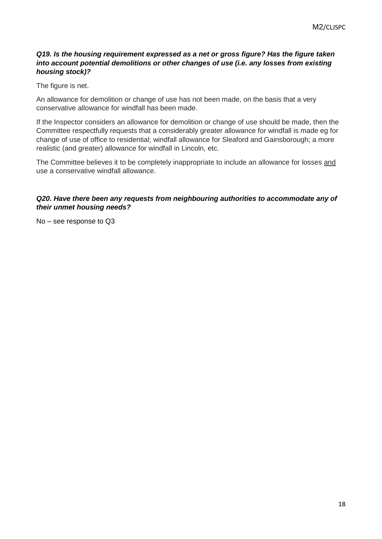# *Q19. Is the housing requirement expressed as a net or gross figure? Has the figure taken into account potential demolitions or other changes of use (i.e. any losses from existing housing stock)?*

The figure is net.

An allowance for demolition or change of use has not been made, on the basis that a very conservative allowance for windfall has been made.

If the Inspector considers an allowance for demolition or change of use should be made, then the Committee respectfully requests that a considerably greater allowance for windfall is made eg for change of use of office to residential; windfall allowance for Sleaford and Gainsborough; a more realistic (and greater) allowance for windfall in Lincoln, etc.

The Committee believes it to be completely inappropriate to include an allowance for losses and use a conservative windfall allowance.

# *Q20. Have there been any requests from neighbouring authorities to accommodate any of their unmet housing needs?*

No – see response to Q3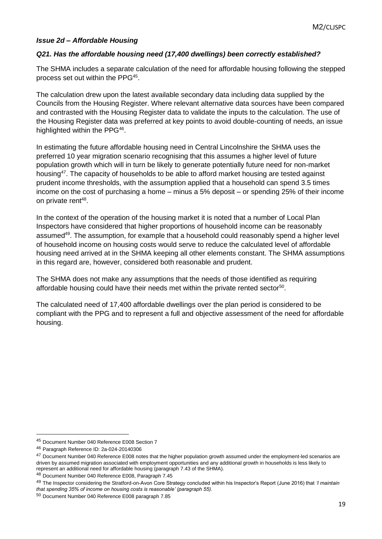# *Issue 2d – Affordable Housing*

# *Q21. Has the affordable housing need (17,400 dwellings) been correctly established?*

The SHMA includes a separate calculation of the need for affordable housing following the stepped process set out within the PPG<sup>45</sup>.

The calculation drew upon the latest available secondary data including data supplied by the Councils from the Housing Register. Where relevant alternative data sources have been compared and contrasted with the Housing Register data to validate the inputs to the calculation. The use of the Housing Register data was preferred at key points to avoid double-counting of needs, an issue highlighted within the PPG<sup>46</sup>.

In estimating the future affordable housing need in Central Lincolnshire the SHMA uses the preferred 10 year migration scenario recognising that this assumes a higher level of future population growth which will in turn be likely to generate potentially future need for non-market housing<sup>47</sup>. The capacity of households to be able to afford market housing are tested against prudent income thresholds, with the assumption applied that a household can spend 3.5 times income on the cost of purchasing a home – minus a 5% deposit – or spending 25% of their income on private rent<sup>48</sup>.

In the context of the operation of the housing market it is noted that a number of Local Plan Inspectors have considered that higher proportions of household income can be reasonably assumed<sup>49</sup>. The assumption, for example that a household could reasonably spend a higher level of household income on housing costs would serve to reduce the calculated level of affordable housing need arrived at in the SHMA keeping all other elements constant. The SHMA assumptions in this regard are, however, considered both reasonable and prudent.

The SHMA does not make any assumptions that the needs of those identified as requiring affordable housing could have their needs met within the private rented sector<sup>50</sup>.

The calculated need of 17,400 affordable dwellings over the plan period is considered to be compliant with the PPG and to represent a full and objective assessment of the need for affordable housing.

<sup>45</sup> Document Number 040 Reference E008 Section 7

<sup>46</sup> Paragraph Reference ID: 2a-024-20140306

<sup>&</sup>lt;sup>47</sup> Document Number 040 Reference E008 notes that the higher population growth assumed under the employment-led scenarios are driven by assumed migration associated with employment opportunities and any additional growth in households is less likely to represent an additional need for affordable housing (paragraph 7.43 of the SHMA).

<sup>48</sup> Document Number 040 Reference E008, Paragraph 7.45

<sup>49</sup> The Inspector considering the Stratford-on-Avon Core Strategy concluded within his Inspector's Report (June 2016) that *'I maintain that spending 35% of income on housing costs is reasonable' (paragraph 55).*

<sup>50</sup> Document Number 040 Reference E008 paragraph 7.85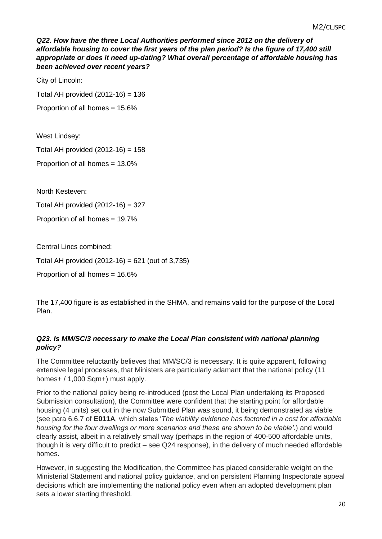**Q22. How have the three Local Authorities performed since 2012 on the delivery of** *affordable housing to cover the first years of the plan period? Is the figure of 17,400 still appropriate or does it need up-dating? What overall percentage of affordable housing has been achieved over recent years?*

City of Lincoln:

Total AH provided  $(2012-16) = 136$ 

Proportion of all homes = 15.6%

West Lindsey:

Total AH provided  $(2012-16) = 158$ 

Proportion of all homes = 13.0%

North Kesteven:

Total AH provided (2012-16) = 327

Proportion of all homes = 19.7%

Central Lincs combined:

Total AH provided (2012-16) = 621 (out of 3,735)

Proportion of all homes = 16.6%

The 17,400 figure is as established in the SHMA, and remains valid for the purpose of the Local Plan.

# *Q23. Is MM/SC/3 necessary to make the Local Plan consistent with national planning policy?*

The Committee reluctantly believes that MM/SC/3 is necessary. It is quite apparent, following extensive legal processes, that Ministers are particularly adamant that the national policy (11 homes+ / 1,000 Sqm+) must apply.

Prior to the national policy being re-introduced (post the Local Plan undertaking its Proposed Submission consultation), the Committee were confident that the starting point for affordable housing (4 units) set out in the now Submitted Plan was sound, it being demonstrated as viable (see para 6.6.7 of **E011A**, which states '*The viability evidence has factored in a cost for affordable housing for the four dwellings or more scenarios and these are shown to be viable'*.) and would clearly assist, albeit in a relatively small way (perhaps in the region of 400-500 affordable units, though it is very difficult to predict – see Q24 response), in the delivery of much needed affordable homes.

However, in suggesting the Modification, the Committee has placed considerable weight on the Ministerial Statement and national policy guidance, and on persistent Planning Inspectorate appeal decisions which are implementing the national policy even when an adopted development plan sets a lower starting threshold.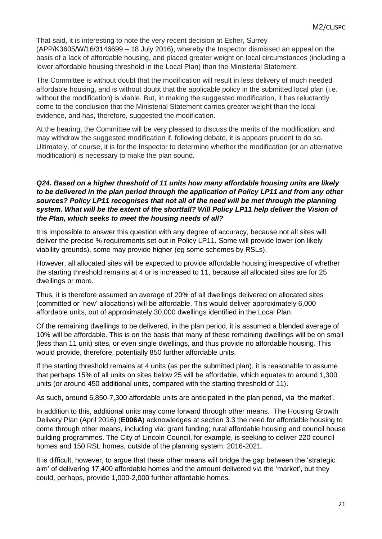That said, it is interesting to note the very recent decision at Esher, Surrey (APP/K3605/W/16/3146699 – 18 July 2016), whereby the Inspector dismissed an appeal on the basis of a lack of affordable housing, and placed greater weight on local circumstances (including a lower affordable housing threshold in the Local Plan) than the Ministerial Statement.

The Committee is without doubt that the modification will result in less delivery of much needed affordable housing, and is without doubt that the applicable policy in the submitted local plan (i.e. without the modification) is viable. But, in making the suggested modification, it has reluctantly come to the conclusion that the Ministerial Statement carries greater weight than the local evidence, and has, therefore, suggested the modification.

At the hearing, the Committee will be very pleased to discuss the merits of the modification, and may withdraw the suggested modification if, following debate, it is appears prudent to do so. Ultimately, of course, it is for the Inspector to determine whether the modification (or an alternative modification) is necessary to make the plan sound.

# *Q24. Based on a higher threshold of 11 units how many affordable housing units are likely to be delivered in the plan period through the application of Policy LP11 and from any other sources? Policy LP11 recognises that not all of the need will be met through the planning system. What will be the extent of the shortfall? Will Policy LP11 help deliver the Vision of the Plan, which seeks to meet the housing needs of all?*

It is impossible to answer this question with any degree of accuracy, because not all sites will deliver the precise % requirements set out in Policy LP11. Some will provide lower (on likely viability grounds), some may provide higher (eg some schemes by RSLs).

However, all allocated sites will be expected to provide affordable housing irrespective of whether the starting threshold remains at 4 or is increased to 11, because all allocated sites are for 25 dwellings or more.

Thus, it is therefore assumed an average of 20% of all dwellings delivered on allocated sites (committed or 'new' allocations) will be affordable. This would deliver approximately 6,000 affordable units, out of approximately 30,000 dwellings identified in the Local Plan.

Of the remaining dwellings to be delivered, in the plan period, it is assumed a blended average of 10% will be affordable. This is on the basis that many of these remaining dwellings will be on small (less than 11 unit) sites, or even single dwellings, and thus provide no affordable housing. This would provide, therefore, potentially 850 further affordable units.

If the starting threshold remains at 4 units (as per the submitted plan), it is reasonable to assume that perhaps 15% of all units on sites below 25 will be affordable, which equates to around 1,300 units (or around 450 additional units, compared with the starting threshold of 11).

As such, around 6,850-7,300 affordable units are anticipated in the plan period, via 'the market'.

In addition to this, additional units may come forward through other means. The Housing Growth Delivery Plan (April 2016) (**E006A**) acknowledges at section 3.3 the need for affordable housing to come through other means, including via: grant funding; rural affordable housing and council house building programmes. The City of Lincoln Council, for example, is seeking to deliver 220 council homes and 150 RSL homes, outside of the planning system, 2016-2021.

It is difficult, however, to argue that these other means will bridge the gap between the 'strategic aim' of delivering 17,400 affordable homes and the amount delivered via the 'market', but they could, perhaps, provide 1,000-2,000 further affordable homes.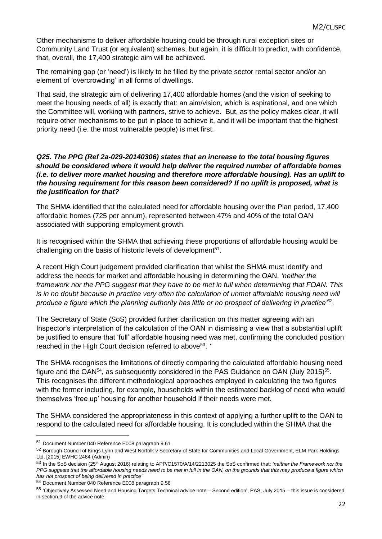Other mechanisms to deliver affordable housing could be through rural exception sites or Community Land Trust (or equivalent) schemes, but again, it is difficult to predict, with confidence, that, overall, the 17,400 strategic aim will be achieved.

The remaining gap (or 'need') is likely to be filled by the private sector rental sector and/or an element of 'overcrowding' in all forms of dwellings.

That said, the strategic aim of delivering 17,400 affordable homes (and the vision of seeking to meet the housing needs of all) is exactly that: an aim/vision, which is aspirational, and one which the Committee will, working with partners, strive to achieve. But, as the policy makes clear, it will require other mechanisms to be put in place to achieve it, and it will be important that the highest priority need (i.e. the most vulnerable people) is met first.

# *Q25. The PPG (Ref 2a-029-20140306) states that an increase to the total housing figures should be considered where it would help deliver the required number of affordable homes (i.e. to deliver more market housing and therefore more affordable housing). Has an uplift to the housing requirement for this reason been considered? If no uplift is proposed, what is the justification for that?*

The SHMA identified that the calculated need for affordable housing over the Plan period, 17,400 affordable homes (725 per annum), represented between 47% and 40% of the total OAN associated with supporting employment growth.

It is recognised within the SHMA that achieving these proportions of affordable housing would be challenging on the basis of historic levels of development<sup>51</sup>.

A recent High Court judgement provided clarification that whilst the SHMA must identify and address the needs for market and affordable housing in determining the OAN, *'neither the framework nor the PPG suggest that they have to be met in full when determining that FOAN. This is in no doubt because in practice very often the calculation of unmet affordable housing need will produce a figure which the planning authority has little or no prospect of delivering in practice'<sup>52</sup> .*

The Secretary of State (SoS) provided further clarification on this matter agreeing with an Inspector's interpretation of the calculation of the OAN in dismissing a view that a substantial uplift be justified to ensure that 'full' affordable housing need was met, confirming the concluded position reached in the High Court decision referred to above<sup>53</sup>.

The SHMA recognises the limitations of directly comparing the calculated affordable housing need figure and the OAN<sup>54</sup>, as subsequently considered in the PAS Guidance on OAN (July 2015)<sup>55</sup>. This recognises the different methodological approaches employed in calculating the two figures with the former including, for example, households within the estimated backlog of need who would themselves 'free up' housing for another household if their needs were met.

The SHMA considered the appropriateness in this context of applying a further uplift to the OAN to respond to the calculated need for affordable housing. It is concluded within the SHMA that the

<sup>51</sup> Document Number 040 Reference E008 paragraph 9.61

<sup>52</sup> Borough Council of Kings Lynn and West Norfolk v Secretary of State for Communities and Local Government, ELM Park Holdings Ltd, [2015] EWHC 2464 (Admin)

<sup>53</sup> In the SoS decision (25th August 2016) relating to APP/C1570/A/14/2213025 the SoS confirmed that: *'neither the Framework nor the PPG suggests that the affordable housing needs need to be met in full in the OAN, on the grounds that this may produce a figure which has not prospect of being delivered in practice'*

<sup>54</sup> Document Number 040 Reference E008 paragraph 9.56

<sup>55</sup> 'Objectively Assessed Need and Housing Targets Technical advice note – Second edition', PAS, July 2015 – this issue is considered in section 9 of the advice note.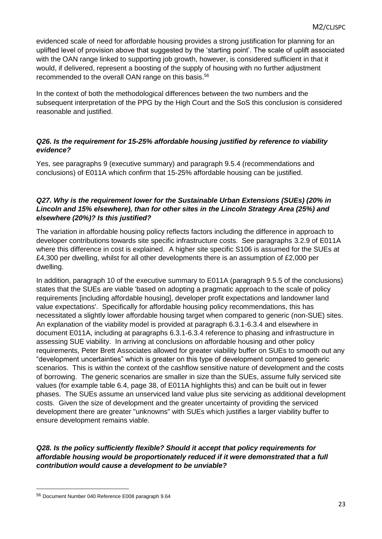evidenced scale of need for affordable housing provides a strong justification for planning for an uplifted level of provision above that suggested by the 'starting point'. The scale of uplift associated with the OAN range linked to supporting job growth, however, is considered sufficient in that it would, if delivered, represent a boosting of the supply of housing with no further adjustment recommended to the overall OAN range on this basis.<sup>56</sup>

In the context of both the methodological differences between the two numbers and the subsequent interpretation of the PPG by the High Court and the SoS this conclusion is considered reasonable and justified.

# *Q26. Is the requirement for 15-25% affordable housing justified by reference to viability evidence?*

Yes, see paragraphs 9 (executive summary) and paragraph 9.5.4 (recommendations and conclusions) of E011A which confirm that 15-25% affordable housing can be justified.

# *Q27. Why is the requirement lower for the Sustainable Urban Extensions (SUEs) (20% in Lincoln and 15% elsewhere), than for other sites in the Lincoln Strategy Area (25%) and elsewhere (20%)? Is this justified?*

The variation in affordable housing policy reflects factors including the difference in approach to developer contributions towards site specific infrastructure costs. See paragraphs 3.2.9 of E011A where this difference in cost is explained. A higher site specific S106 is assumed for the SUEs at £4,300 per dwelling, whilst for all other developments there is an assumption of £2,000 per dwelling.

In addition, paragraph 10 of the executive summary to E011A (paragraph 9.5.5 of the conclusions) states that the SUEs are viable 'based on adopting a pragmatic approach to the scale of policy requirements [including affordable housing], developer profit expectations and landowner land value expectations'. Specifically for affordable housing policy recommendations, this has necessitated a slightly lower affordable housing target when compared to generic (non-SUE) sites. An explanation of the viability model is provided at paragraph 6.3.1-6.3.4 and elsewhere in document E011A, including at paragraphs 6.3.1-6.3.4 reference to phasing and infrastructure in assessing SUE viability. In arriving at conclusions on affordable housing and other policy requirements, Peter Brett Associates allowed for greater viability buffer on SUEs to smooth out any "development uncertainties" which is greater on this type of development compared to generic scenarios. This is within the context of the cashflow sensitive nature of development and the costs of borrowing. The generic scenarios are smaller in size than the SUEs, assume fully serviced site values (for example table 6.4, page 38, of E011A highlights this) and can be built out in fewer phases. The SUEs assume an unserviced land value plus site servicing as additional development costs. Given the size of development and the greater uncertainty of providing the serviced development there are greater "unknowns" with SUEs which justifies a larger viability buffer to ensure development remains viable.

*Q28. Is the policy sufficiently flexible? Should it accept that policy requirements for affordable housing would be proportionately reduced if it were demonstrated that a full contribution would cause a development to be unviable?*

<sup>56</sup> Document Number 040 Reference E008 paragraph 9.64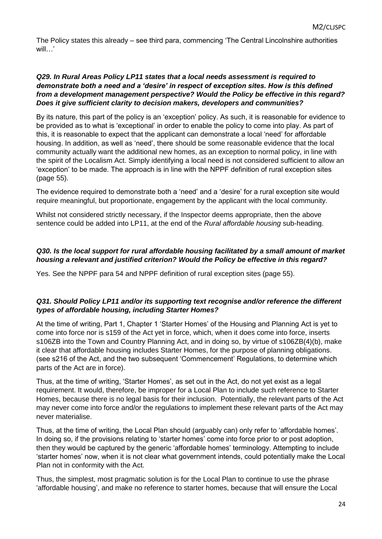The Policy states this already – see third para, commencing 'The Central Lincolnshire authorities will '

# *Q29. In Rural Areas Policy LP11 states that a local needs assessment is required to demonstrate both a need and a 'desire' in respect of exception sites. How is this defined from a development management perspective? Would the Policy be effective in this regard? Does it give sufficient clarity to decision makers, developers and communities?*

By its nature, this part of the policy is an 'exception' policy. As such, it is reasonable for evidence to be provided as to what is 'exceptional' in order to enable the policy to come into play. As part of this, it is reasonable to expect that the applicant can demonstrate a local 'need' for affordable housing. In addition, as well as 'need', there should be some reasonable evidence that the local community actually want the additional new homes, as an exception to normal policy, in line with the spirit of the Localism Act. Simply identifying a local need is not considered sufficient to allow an 'exception' to be made. The approach is in line with the NPPF definition of rural exception sites (page 55).

The evidence required to demonstrate both a 'need' and a 'desire' for a rural exception site would require meaningful, but proportionate, engagement by the applicant with the local community.

Whilst not considered strictly necessary, if the Inspector deems appropriate, then the above sentence could be added into LP11, at the end of the *Rural affordable housing* sub-heading.

# *Q30. Is the local support for rural affordable housing facilitated by a small amount of market housing a relevant and justified criterion? Would the Policy be effective in this regard?*

Yes. See the NPPF para 54 and NPPF definition of rural exception sites (page 55).

# *Q31. Should Policy LP11 and/or its supporting text recognise and/or reference the different types of affordable housing, including Starter Homes?*

At the time of writing, Part 1, Chapter 1 'Starter Homes' of the Housing and Planning Act is yet to come into force nor is s159 of the Act yet in force, which, when it does come into force, inserts s106ZB into the Town and Country Planning Act, and in doing so, by virtue of s106ZB(4)(b), make it clear that affordable housing includes Starter Homes, for the purpose of planning obligations. (see s216 of the Act, and the two subsequent 'Commencement' Regulations, to determine which parts of the Act are in force).

Thus, at the time of writing, 'Starter Homes', as set out in the Act, do not yet exist as a legal requirement. It would, therefore, be improper for a Local Plan to include such reference to Starter Homes, because there is no legal basis for their inclusion. Potentially, the relevant parts of the Act may never come into force and/or the regulations to implement these relevant parts of the Act may never materialise.

Thus, at the time of writing, the Local Plan should (arguably can) only refer to 'affordable homes'. In doing so, if the provisions relating to 'starter homes' come into force prior to or post adoption, then they would be captured by the generic 'affordable homes' terminology. Attempting to include 'starter homes' now, when it is not clear what government intends, could potentially make the Local Plan not in conformity with the Act.

Thus, the simplest, most pragmatic solution is for the Local Plan to continue to use the phrase 'affordable housing', and make no reference to starter homes, because that will ensure the Local